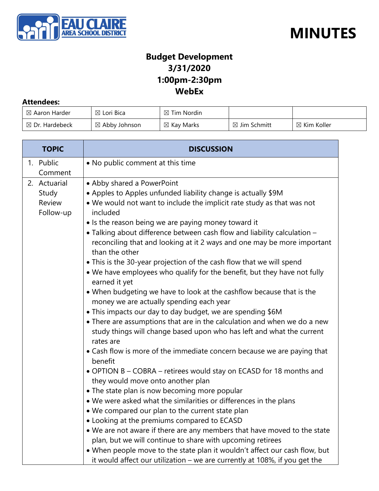



### **Budget Development 3/31/2020 1:00pm-2:30pm WebEx**

#### **Attendees:**

| $\boxtimes$ Aaron Harder  | $\boxtimes$ Lori Bica    | $\boxtimes$ Tim Nordin |                         |                        |
|---------------------------|--------------------------|------------------------|-------------------------|------------------------|
| $\boxtimes$ Dr. Hardebeck | $\boxtimes$ Abby Johnson | $\boxtimes$ Kay Marks  | $\boxtimes$ Jim Schmitt | $\boxtimes$ Kim Koller |

| <b>TOPIC</b>        | <b>DISCUSSION</b>                                                                                                |  |
|---------------------|------------------------------------------------------------------------------------------------------------------|--|
| 1. Public           | • No public comment at this time                                                                                 |  |
| Comment             |                                                                                                                  |  |
| 2. Actuarial        | • Abby shared a PowerPoint                                                                                       |  |
| Study               | • Apples to Apples unfunded liability change is actually \$9M                                                    |  |
| Review<br>Follow-up | . We would not want to include the implicit rate study as that was not<br>included                               |  |
|                     | • Is the reason being we are paying money toward it                                                              |  |
|                     | • Talking about difference between cash flow and liability calculation -                                         |  |
|                     | reconciling that and looking at it 2 ways and one may be more important<br>than the other                        |  |
|                     | • This is the 30-year projection of the cash flow that we will spend                                             |  |
|                     | . We have employees who qualify for the benefit, but they have not fully<br>earned it yet                        |  |
|                     | • When budgeting we have to look at the cashflow because that is the<br>money we are actually spending each year |  |
|                     | • This impacts our day to day budget, we are spending \$6M                                                       |  |
|                     | • There are assumptions that are in the calculation and when we do a new                                         |  |
|                     | study things will change based upon who has left and what the current<br>rates are                               |  |
|                     | • Cash flow is more of the immediate concern because we are paying that<br>benefit                               |  |
|                     | • OPTION B - COBRA - retirees would stay on ECASD for 18 months and                                              |  |
|                     | they would move onto another plan                                                                                |  |
|                     | • The state plan is now becoming more popular                                                                    |  |
|                     | . We were asked what the similarities or differences in the plans                                                |  |
|                     | . We compared our plan to the current state plan                                                                 |  |
|                     | • Looking at the premiums compared to ECASD                                                                      |  |
|                     | • We are not aware if there are any members that have moved to the state                                         |  |
|                     | plan, but we will continue to share with upcoming retirees                                                       |  |
|                     | • When people move to the state plan it wouldn't affect our cash flow, but                                       |  |
|                     | it would affect our utilization - we are currently at 108%, if you get the                                       |  |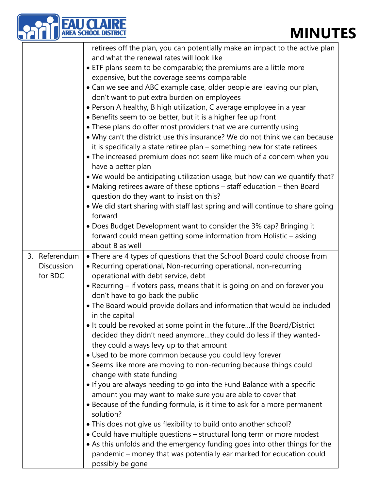### **MINUTES**

|                              | <b>EAU CLAIRE</b><br>AREA SCHOOL DISTRICT<br><b>MINUT</b>                                                                                                                                                                                                                                                                                                                                                                                                                                                                                                                                                                                                                                                                                                                                                                                                                                                                                                                                                                                                                                                                                                                                                                 |
|------------------------------|---------------------------------------------------------------------------------------------------------------------------------------------------------------------------------------------------------------------------------------------------------------------------------------------------------------------------------------------------------------------------------------------------------------------------------------------------------------------------------------------------------------------------------------------------------------------------------------------------------------------------------------------------------------------------------------------------------------------------------------------------------------------------------------------------------------------------------------------------------------------------------------------------------------------------------------------------------------------------------------------------------------------------------------------------------------------------------------------------------------------------------------------------------------------------------------------------------------------------|
|                              | retirees off the plan, you can potentially make an impact to the active plan<br>and what the renewal rates will look like<br>• ETF plans seem to be comparable; the premiums are a little more<br>expensive, but the coverage seems comparable<br>• Can we see and ABC example case, older people are leaving our plan,<br>don't want to put extra burden on employees<br>• Person A healthy, B high utilization, C average employee in a year<br>• Benefits seem to be better, but it is a higher fee up front<br>• These plans do offer most providers that we are currently using<br>. Why can't the district use this insurance? We do not think we can because<br>it is specifically a state retiree plan - something new for state retirees<br>• The increased premium does not seem like much of a concern when you<br>have a better plan<br>. We would be anticipating utilization usage, but how can we quantify that?<br>• Making retirees aware of these options - staff education - then Board<br>question do they want to insist on this?<br>. We did start sharing with staff last spring and will continue to share going<br>forward<br>• Does Budget Development want to consider the 3% cap? Bringing it |
| 3. Referendum                | forward could mean getting some information from Holistic - asking<br>about B as well<br>• There are 4 types of questions that the School Board could choose from                                                                                                                                                                                                                                                                                                                                                                                                                                                                                                                                                                                                                                                                                                                                                                                                                                                                                                                                                                                                                                                         |
| <b>Discussion</b><br>for BDC | • Recurring operational, Non-recurring operational, non-recurring<br>operational with debt service, debt<br>• Recurring – if voters pass, means that it is going on and on forever you<br>don't have to go back the public<br>• The Board would provide dollars and information that would be included<br>in the capital                                                                                                                                                                                                                                                                                                                                                                                                                                                                                                                                                                                                                                                                                                                                                                                                                                                                                                  |
|                              | • It could be revoked at some point in the future If the Board/District<br>decided they didn't need anymorethey could do less if they wanted-<br>they could always levy up to that amount<br>• Used to be more common because you could levy forever<br>• Seems like more are moving to non-recurring because things could<br>change with state funding<br>• If you are always needing to go into the Fund Balance with a specific<br>amount you may want to make sure you are able to cover that                                                                                                                                                                                                                                                                                                                                                                                                                                                                                                                                                                                                                                                                                                                         |
|                              | • Because of the funding formula, is it time to ask for a more permanent<br>solution?<br>• This does not give us flexibility to build onto another school?<br>• Could have multiple questions - structural long term or more modest<br>• As this unfolds and the emergency funding goes into other things for the<br>pandemic - money that was potentially ear marked for education could<br>possibly be gone                                                                                                                                                                                                                                                                                                                                                                                                                                                                                                                                                                                                                                                                                                                                                                                                             |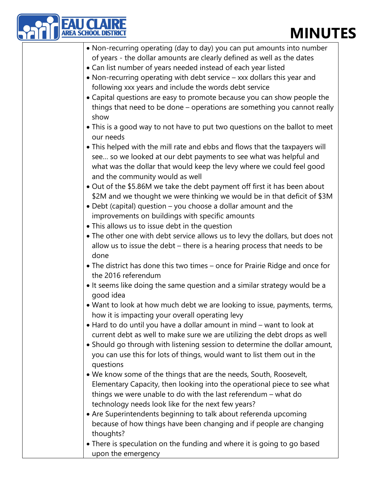## **MINUTES**

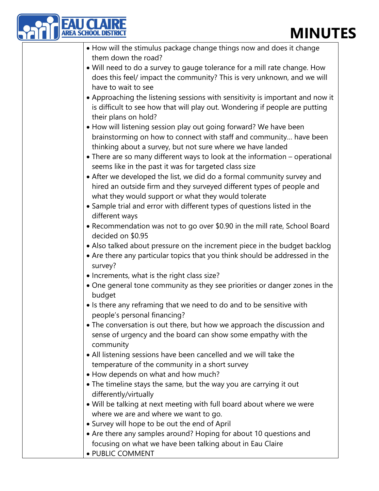# **MINUTES**

| <b>MINUT</b>                                                                                                                                                                                           |
|--------------------------------------------------------------------------------------------------------------------------------------------------------------------------------------------------------|
| • How will the stimulus package change things now and does it change<br>them down the road?                                                                                                            |
| • Will need to do a survey to gauge tolerance for a mill rate change. How<br>does this feel/ impact the community? This is very unknown, and we will<br>have to wait to see                            |
| • Approaching the listening sessions with sensitivity is important and now it<br>is difficult to see how that will play out. Wondering if people are putting<br>their plans on hold?                   |
| . How will listening session play out going forward? We have been<br>brainstorming on how to connect with staff and community have been<br>thinking about a survey, but not sure where we have landed  |
| • There are so many different ways to look at the information – operational<br>seems like in the past it was for targeted class size                                                                   |
| • After we developed the list, we did do a formal community survey and<br>hired an outside firm and they surveyed different types of people and<br>what they would support or what they would tolerate |
| • Sample trial and error with different types of questions listed in the<br>different ways                                                                                                             |
| • Recommendation was not to go over \$0.90 in the mill rate, School Board<br>decided on \$0.95                                                                                                         |
| • Also talked about pressure on the increment piece in the budget backlog<br>• Are there any particular topics that you think should be addressed in the<br>survey?                                    |
| • Increments, what is the right class size?                                                                                                                                                            |
| . One general tone community as they see priorities or danger zones in the<br>budget                                                                                                                   |
| • Is there any reframing that we need to do and to be sensitive with<br>people's personal financing?                                                                                                   |
| • The conversation is out there, but how we approach the discussion and<br>sense of urgency and the board can show some empathy with the<br>community                                                  |
| • All listening sessions have been cancelled and we will take the<br>temperature of the community in a short survey                                                                                    |
| • How depends on what and how much?                                                                                                                                                                    |
| • The timeline stays the same, but the way you are carrying it out                                                                                                                                     |
| differently/virtually                                                                                                                                                                                  |
| • Will be talking at next meeting with full board about where we were                                                                                                                                  |
| where we are and where we want to go.                                                                                                                                                                  |
| • Survey will hope to be out the end of April                                                                                                                                                          |
| • Are there any samples around? Hoping for about 10 questions and<br>focusing on what we have been talking about in Eau Claire                                                                         |
| · PUBLIC COMMENT                                                                                                                                                                                       |